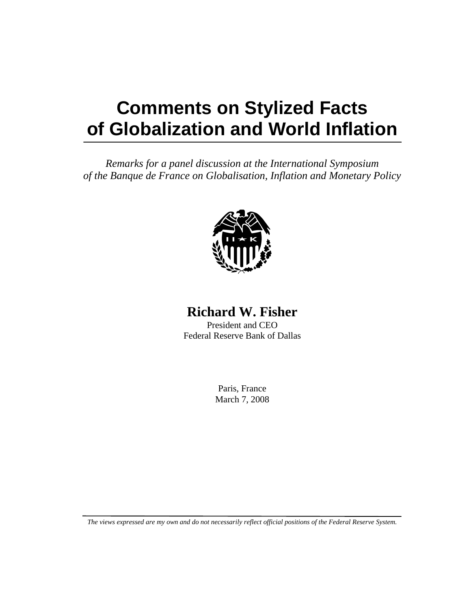## **Comments on Stylized Facts of Globalization and World Inflation**

*Remarks for a panel discussion at the International Symposium of the Banque de France on Globalisation, Inflation and Monetary Policy* 



## **Richard W. Fisher**

President and CEO Federal Reserve Bank of Dallas

> Paris, France March 7, 2008

*The views expressed are my own and do not necessarily reflect official positions of the Federal Reserve System.*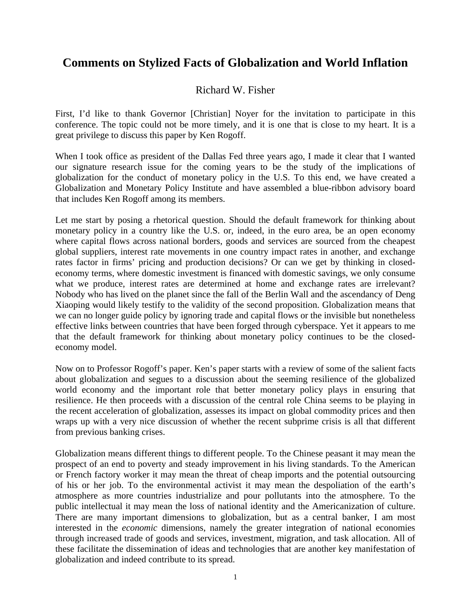## **Comments on Stylized Facts of Globalization and World Inflation**

## Richard W. Fisher

First, I'd like to thank Governor [Christian] Noyer for the invitation to participate in this conference. The topic could not be more timely, and it is one that is close to my heart. It is a great privilege to discuss this paper by Ken Rogoff.

When I took office as president of the Dallas Fed three years ago, I made it clear that I wanted our signature research issue for the coming years to be the study of the implications of globalization for the conduct of monetary policy in the U.S. To this end, we have created a Globalization and Monetary Policy Institute and have assembled a blue-ribbon advisory board that includes Ken Rogoff among its members.

Let me start by posing a rhetorical question. Should the default framework for thinking about monetary policy in a country like the U.S. or, indeed, in the euro area, be an open economy where capital flows across national borders, goods and services are sourced from the cheapest global suppliers, interest rate movements in one country impact rates in another, and exchange rates factor in firms' pricing and production decisions? Or can we get by thinking in closedeconomy terms, where domestic investment is financed with domestic savings, we only consume what we produce, interest rates are determined at home and exchange rates are irrelevant? Nobody who has lived on the planet since the fall of the Berlin Wall and the ascendancy of Deng Xiaoping would likely testify to the validity of the second proposition. Globalization means that we can no longer guide policy by ignoring trade and capital flows or the invisible but nonetheless effective links between countries that have been forged through cyberspace. Yet it appears to me that the default framework for thinking about monetary policy continues to be the closedeconomy model.

Now on to Professor Rogoff's paper. Ken's paper starts with a review of some of the salient facts about globalization and segues to a discussion about the seeming resilience of the globalized world economy and the important role that better monetary policy plays in ensuring that resilience. He then proceeds with a discussion of the central role China seems to be playing in the recent acceleration of globalization, assesses its impact on global commodity prices and then wraps up with a very nice discussion of whether the recent subprime crisis is all that different from previous banking crises.

Globalization means different things to different people. To the Chinese peasant it may mean the prospect of an end to poverty and steady improvement in his living standards. To the American or French factory worker it may mean the threat of cheap imports and the potential outsourcing of his or her job. To the environmental activist it may mean the despoliation of the earth's atmosphere as more countries industrialize and pour pollutants into the atmosphere. To the public intellectual it may mean the loss of national identity and the Americanization of culture. There are many important dimensions to globalization, but as a central banker, I am most interested in the *economic* dimensions, namely the greater integration of national economies through increased trade of goods and services, investment, migration, and task allocation. All of these facilitate the dissemination of ideas and technologies that are another key manifestation of globalization and indeed contribute to its spread.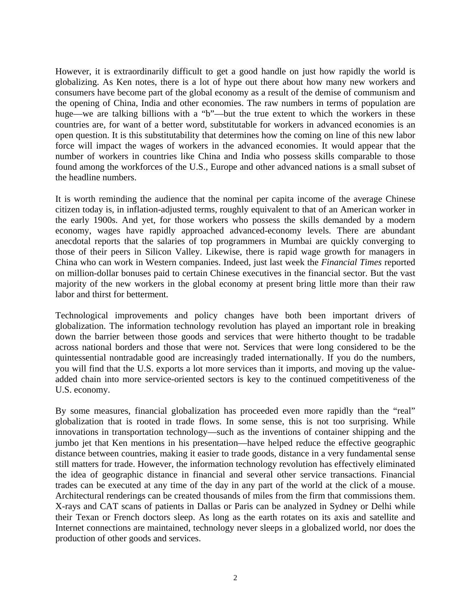However, it is extraordinarily difficult to get a good handle on just how rapidly the world is globalizing. As Ken notes, there is a lot of hype out there about how many new workers and consumers have become part of the global economy as a result of the demise of communism and the opening of China, India and other economies. The raw numbers in terms of population are huge—we are talking billions with a "b"—but the true extent to which the workers in these countries are, for want of a better word, substitutable for workers in advanced economies is an open question. It is this substitutability that determines how the coming on line of this new labor force will impact the wages of workers in the advanced economies. It would appear that the number of workers in countries like China and India who possess skills comparable to those found among the workforces of the U.S., Europe and other advanced nations is a small subset of the headline numbers.

It is worth reminding the audience that the nominal per capita income of the average Chinese citizen today is, in inflation-adjusted terms, roughly equivalent to that of an American worker in the early 1900s. And yet, for those workers who possess the skills demanded by a modern economy, wages have rapidly approached advanced-economy levels. There are abundant anecdotal reports that the salaries of top programmers in Mumbai are quickly converging to those of their peers in Silicon Valley. Likewise, there is rapid wage growth for managers in China who can work in Western companies. Indeed, just last week the *Financial Times* reported on million-dollar bonuses paid to certain Chinese executives in the financial sector. But the vast majority of the new workers in the global economy at present bring little more than their raw labor and thirst for betterment.

Technological improvements and policy changes have both been important drivers of globalization. The information technology revolution has played an important role in breaking down the barrier between those goods and services that were hitherto thought to be tradable across national borders and those that were not. Services that were long considered to be the quintessential nontradable good are increasingly traded internationally. If you do the numbers, you will find that the U.S. exports a lot more services than it imports, and moving up the valueadded chain into more service-oriented sectors is key to the continued competitiveness of the U.S. economy.

By some measures, financial globalization has proceeded even more rapidly than the "real" globalization that is rooted in trade flows. In some sense, this is not too surprising. While innovations in transportation technology—such as the inventions of container shipping and the jumbo jet that Ken mentions in his presentation—have helped reduce the effective geographic distance between countries, making it easier to trade goods, distance in a very fundamental sense still matters for trade. However, the information technology revolution has effectively eliminated the idea of geographic distance in financial and several other service transactions. Financial trades can be executed at any time of the day in any part of the world at the click of a mouse. Architectural renderings can be created thousands of miles from the firm that commissions them. X-rays and CAT scans of patients in Dallas or Paris can be analyzed in Sydney or Delhi while their Texan or French doctors sleep. As long as the earth rotates on its axis and satellite and Internet connections are maintained, technology never sleeps in a globalized world, nor does the production of other goods and services.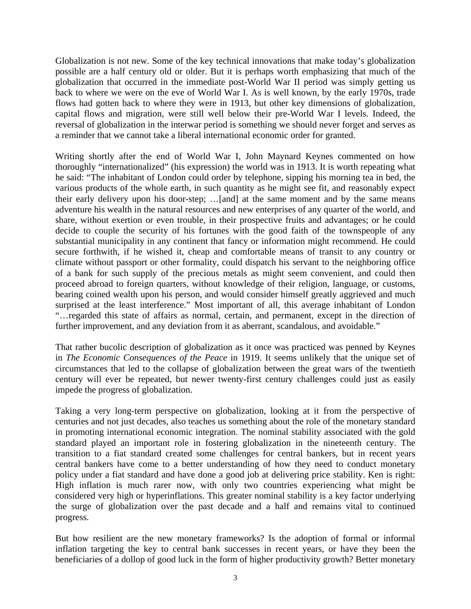Globalization is not new. Some of the key technical innovations that make today's globalization possible are a half century old or older. But it is perhaps worth emphasizing that much of the globalization that occurred in the immediate post-World War II period was simply getting us back to where we were on the eve of World War I. As is well known, by the early 1970s, trade flows had gotten back to where they were in 1913, but other key dimensions of globalization, capital flows and migration, were still well below their pre-World War I levels. Indeed, the reversal of globalization in the interwar period is something we should never forget and serves as a reminder that we cannot take a liberal international economic order for granted.

Writing shortly after the end of World War I, John Maynard Keynes commented on how thoroughly "internationalized" (his expression) the world was in 1913. It is worth repeating what he said: "The inhabitant of London could order by telephone, sipping his morning tea in bed, the various products of the whole earth, in such quantity as he might see fit, and reasonably expect their early delivery upon his door-step; …[and] at the same moment and by the same means adventure his wealth in the natural resources and new enterprises of any quarter of the world, and share, without exertion or even trouble, in their prospective fruits and advantages; or he could decide to couple the security of his fortunes with the good faith of the townspeople of any substantial municipality in any continent that fancy or information might recommend. He could secure forthwith, if he wished it, cheap and comfortable means of transit to any country or climate without passport or other formality, could dispatch his servant to the neighboring office of a bank for such supply of the precious metals as might seem convenient, and could then proceed abroad to foreign quarters, without knowledge of their religion, language, or customs, bearing coined wealth upon his person, and would consider himself greatly aggrieved and much surprised at the least interference." Most important of all, this average inhabitant of London "…regarded this state of affairs as normal, certain, and permanent, except in the direction of further improvement, and any deviation from it as aberrant, scandalous, and avoidable."

That rather bucolic description of globalization as it once was practiced was penned by Keynes in *The Economic Consequences of the Peace* in 1919. It seems unlikely that the unique set of circumstances that led to the collapse of globalization between the great wars of the twentieth century will ever be repeated, but newer twenty-first century challenges could just as easily impede the progress of globalization.

Taking a very long-term perspective on globalization, looking at it from the perspective of centuries and not just decades, also teaches us something about the role of the monetary standard in promoting international economic integration. The nominal stability associated with the gold standard played an important role in fostering globalization in the nineteenth century. The transition to a fiat standard created some challenges for central bankers, but in recent years central bankers have come to a better understanding of how they need to conduct monetary policy under a fiat standard and have done a good job at delivering price stability. Ken is right: High inflation is much rarer now, with only two countries experiencing what might be considered very high or hyperinflations. This greater nominal stability is a key factor underlying the surge of globalization over the past decade and a half and remains vital to continued progress.

But how resilient are the new monetary frameworks? Is the adoption of formal or informal inflation targeting the key to central bank successes in recent years, or have they been the beneficiaries of a dollop of good luck in the form of higher productivity growth? Better monetary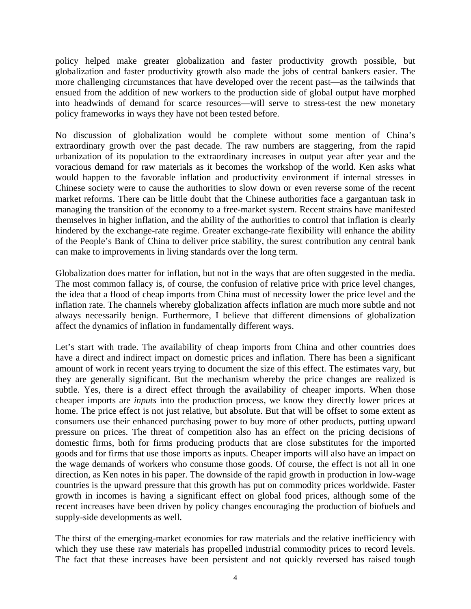policy helped make greater globalization and faster productivity growth possible, but globalization and faster productivity growth also made the jobs of central bankers easier. The more challenging circumstances that have developed over the recent past—as the tailwinds that ensued from the addition of new workers to the production side of global output have morphed into headwinds of demand for scarce resources—will serve to stress-test the new monetary policy frameworks in ways they have not been tested before.

No discussion of globalization would be complete without some mention of China's extraordinary growth over the past decade. The raw numbers are staggering, from the rapid urbanization of its population to the extraordinary increases in output year after year and the voracious demand for raw materials as it becomes the workshop of the world. Ken asks what would happen to the favorable inflation and productivity environment if internal stresses in Chinese society were to cause the authorities to slow down or even reverse some of the recent market reforms. There can be little doubt that the Chinese authorities face a gargantuan task in managing the transition of the economy to a free-market system. Recent strains have manifested themselves in higher inflation, and the ability of the authorities to control that inflation is clearly hindered by the exchange-rate regime. Greater exchange-rate flexibility will enhance the ability of the People's Bank of China to deliver price stability, the surest contribution any central bank can make to improvements in living standards over the long term.

Globalization does matter for inflation, but not in the ways that are often suggested in the media. The most common fallacy is, of course, the confusion of relative price with price level changes, the idea that a flood of cheap imports from China must of necessity lower the price level and the inflation rate. The channels whereby globalization affects inflation are much more subtle and not always necessarily benign. Furthermore, I believe that different dimensions of globalization affect the dynamics of inflation in fundamentally different ways.

Let's start with trade. The availability of cheap imports from China and other countries does have a direct and indirect impact on domestic prices and inflation. There has been a significant amount of work in recent years trying to document the size of this effect. The estimates vary, but they are generally significant. But the mechanism whereby the price changes are realized is subtle. Yes, there is a direct effect through the availability of cheaper imports. When those cheaper imports are *inputs* into the production process, we know they directly lower prices at home. The price effect is not just relative, but absolute. But that will be offset to some extent as consumers use their enhanced purchasing power to buy more of other products, putting upward pressure on prices. The threat of competition also has an effect on the pricing decisions of domestic firms, both for firms producing products that are close substitutes for the imported goods and for firms that use those imports as inputs. Cheaper imports will also have an impact on the wage demands of workers who consume those goods. Of course, the effect is not all in one direction, as Ken notes in his paper. The downside of the rapid growth in production in low-wage countries is the upward pressure that this growth has put on commodity prices worldwide. Faster growth in incomes is having a significant effect on global food prices, although some of the recent increases have been driven by policy changes encouraging the production of biofuels and supply-side developments as well.

The thirst of the emerging-market economies for raw materials and the relative inefficiency with which they use these raw materials has propelled industrial commodity prices to record levels. The fact that these increases have been persistent and not quickly reversed has raised tough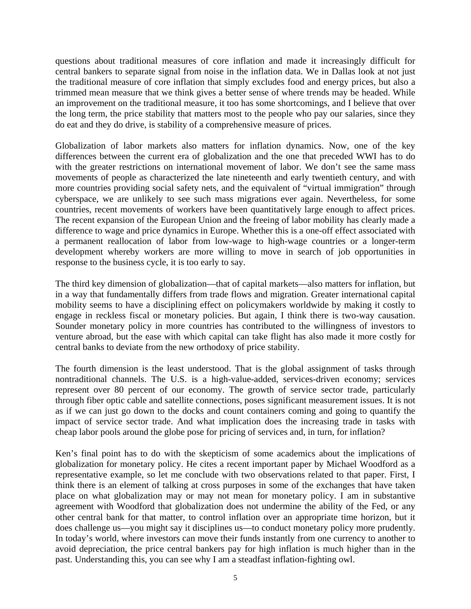questions about traditional measures of core inflation and made it increasingly difficult for central bankers to separate signal from noise in the inflation data. We in Dallas look at not just the traditional measure of core inflation that simply excludes food and energy prices, but also a trimmed mean measure that we think gives a better sense of where trends may be headed. While an improvement on the traditional measure, it too has some shortcomings, and I believe that over the long term, the price stability that matters most to the people who pay our salaries, since they do eat and they do drive, is stability of a comprehensive measure of prices.

Globalization of labor markets also matters for inflation dynamics. Now, one of the key differences between the current era of globalization and the one that preceded WWI has to do with the greater restrictions on international movement of labor. We don't see the same mass movements of people as characterized the late nineteenth and early twentieth century, and with more countries providing social safety nets, and the equivalent of "virtual immigration" through cyberspace, we are unlikely to see such mass migrations ever again. Nevertheless, for some countries, recent movements of workers have been quantitatively large enough to affect prices. The recent expansion of the European Union and the freeing of labor mobility has clearly made a difference to wage and price dynamics in Europe. Whether this is a one-off effect associated with a permanent reallocation of labor from low-wage to high-wage countries or a longer-term development whereby workers are more willing to move in search of job opportunities in response to the business cycle, it is too early to say.

The third key dimension of globalization—that of capital markets—also matters for inflation, but in a way that fundamentally differs from trade flows and migration. Greater international capital mobility seems to have a disciplining effect on policymakers worldwide by making it costly to engage in reckless fiscal or monetary policies. But again, I think there is two-way causation. Sounder monetary policy in more countries has contributed to the willingness of investors to venture abroad, but the ease with which capital can take flight has also made it more costly for central banks to deviate from the new orthodoxy of price stability.

The fourth dimension is the least understood. That is the global assignment of tasks through nontraditional channels. The U.S. is a high-value-added, services-driven economy; services represent over 80 percent of our economy. The growth of service sector trade, particularly through fiber optic cable and satellite connections, poses significant measurement issues. It is not as if we can just go down to the docks and count containers coming and going to quantify the impact of service sector trade. And what implication does the increasing trade in tasks with cheap labor pools around the globe pose for pricing of services and, in turn, for inflation?

Ken's final point has to do with the skepticism of some academics about the implications of globalization for monetary policy. He cites a recent important paper by Michael Woodford as a representative example, so let me conclude with two observations related to that paper. First, I think there is an element of talking at cross purposes in some of the exchanges that have taken place on what globalization may or may not mean for monetary policy. I am in substantive agreement with Woodford that globalization does not undermine the ability of the Fed, or any other central bank for that matter, to control inflation over an appropriate time horizon, but it does challenge us—you might say it disciplines us—to conduct monetary policy more prudently. In today's world, where investors can move their funds instantly from one currency to another to avoid depreciation, the price central bankers pay for high inflation is much higher than in the past. Understanding this, you can see why I am a steadfast inflation-fighting owl.